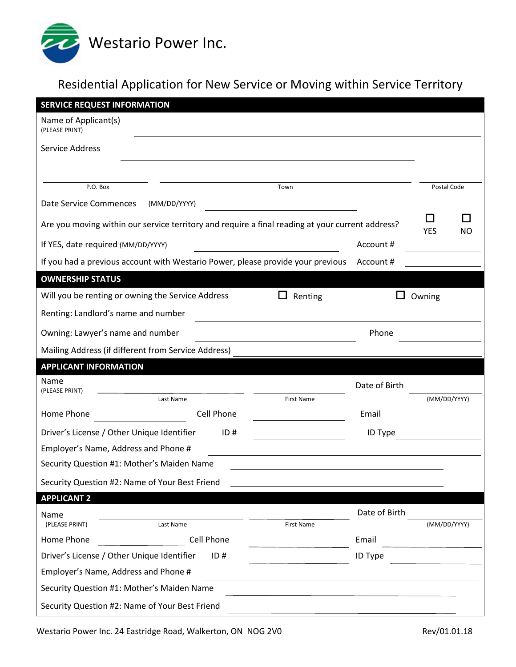

## Residential Application for New Service or Moving within Service Territory

| <b>SERVICE REQUEST INFORMATION</b>                                                               |              |                   |               |              |           |  |
|--------------------------------------------------------------------------------------------------|--------------|-------------------|---------------|--------------|-----------|--|
| Name of Applicant(s)<br>(PLEASE PRINT)                                                           |              |                   |               |              |           |  |
| Service Address                                                                                  |              |                   |               |              |           |  |
|                                                                                                  |              |                   |               |              |           |  |
| P.O. Box                                                                                         | Town         |                   |               | Postal Code  |           |  |
| <b>Date Service Commences</b>                                                                    | (MM/DD/YYYY) |                   |               |              |           |  |
|                                                                                                  |              |                   |               |              |           |  |
| Are you moving within our service territory and require a final reading at your current address? |              |                   |               |              | <b>NO</b> |  |
| If YES, date required (MM/DD/YYYY)                                                               |              |                   | Account#      |              |           |  |
| If you had a previous account with Westario Power, please provide your previous<br>Account#      |              |                   |               |              |           |  |
| <b>OWNERSHIP STATUS</b>                                                                          |              |                   |               |              |           |  |
| Will you be renting or owning the Service Address                                                |              | Renting           |               | Owning       |           |  |
| Renting: Landlord's name and number                                                              |              |                   |               |              |           |  |
| Owning: Lawyer's name and number                                                                 |              | Phone             |               |              |           |  |
| Mailing Address (if different from Service Address)                                              |              |                   |               |              |           |  |
| <b>APPLICANT INFORMATION</b>                                                                     |              |                   |               |              |           |  |
| Name                                                                                             |              |                   | Date of Birth |              |           |  |
| (PLEASE PRINT)<br>Last Name                                                                      |              | <b>First Name</b> |               | (MM/DD/YYYY) |           |  |
| Home Phone                                                                                       | Cell Phone   |                   | Email         |              |           |  |
| Driver's License / Other Unique Identifier                                                       | ID#          |                   | ID Type       |              |           |  |
| Employer's Name, Address and Phone #                                                             |              |                   |               |              |           |  |
| Security Question #1: Mother's Maiden Name                                                       |              |                   |               |              |           |  |
| Security Question #2: Name of Your Best Friend                                                   |              |                   |               |              |           |  |
| <b>APPLICANT 2</b>                                                                               |              |                   |               |              |           |  |
| Name                                                                                             |              |                   | Date of Birth |              |           |  |
| (PLEASE PRINT)<br>Last Name                                                                      | Cell Phone   | First Name        | Email         | (MM/DD/YYYY) |           |  |
| Home Phone                                                                                       |              |                   |               |              |           |  |
| Driver's License / Other Unique Identifier<br>Employer's Name, Address and Phone #               | ID#          |                   | ID Type       |              |           |  |
| Security Question #1: Mother's Maiden Name                                                       |              |                   |               |              |           |  |
|                                                                                                  |              |                   |               |              |           |  |
| Security Question #2: Name of Your Best Friend                                                   |              |                   |               |              |           |  |